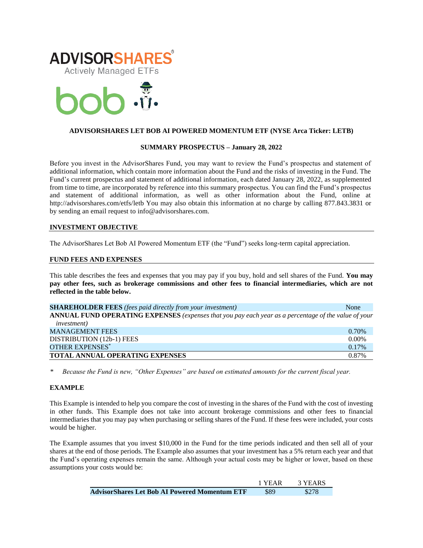



# **ADVISORSHARES LET BOB AI POWERED MOMENTUM ETF (NYSE Arca Ticker: LETB)**

### **SUMMARY PROSPECTUS – January 28, 2022**

Before you invest in the AdvisorShares Fund, you may want to review the Fund's prospectus and statement of additional information, which contain more information about the Fund and the risks of investing in the Fund. The Fund's current [prospectus and statement of additional information,](https://www.sec.gov/ix?doc=/Archives/edgar/data/1408970/000182912622002020/advisorshares_485bpos.htm) each dated January 28, 2022, as supplemented from time to time, are incorporated by reference into this summary prospectus. You can find the Fund's prospectus and statement of additional information, as well as other information about the Fund, online at http://advisorshares.com/etfs/letb You may also obtain this information at no charge by calling 877.843.3831 or by sending an email request to info@advisorshares.com.

### **INVESTMENT OBJECTIVE**

The AdvisorShares Let Bob AI Powered Momentum ETF (the "Fund") seeks long-term capital appreciation.

### **FUND FEES AND EXPENSES**

This table describes the fees and expenses that you may pay if you buy, hold and sell shares of the Fund. **You may pay other fees, such as brokerage commissions and other fees to financial intermediaries, which are not reflected in the table below.**

| <b>SHAREHOLDER FEES</b> (fees paid directly from your investment)                                    | None     |
|------------------------------------------------------------------------------------------------------|----------|
| ANNUAL FUND OPERATING EXPENSES (expenses that you pay each year as a percentage of the value of your |          |
| <i>investment</i> )                                                                                  |          |
| <b>MANAGEMENT FEES</b>                                                                               | 0.70%    |
| DISTRIBUTION (12b-1) FEES                                                                            | $0.00\%$ |
| <b>OTHER EXPENSES*</b>                                                                               | 0.17%    |
| <b>TOTAL ANNUAL OPERATING EXPENSES</b>                                                               | 0.87%    |

*\* Because the Fund is new, "Other Expenses" are based on estimated amounts for the current fiscal year.*

### **EXAMPLE**

This Example is intended to help you compare the cost of investing in the shares of the Fund with the cost of investing in other funds. This Example does not take into account brokerage commissions and other fees to financial intermediaries that you may pay when purchasing or selling shares of the Fund. If these fees were included, your costs would be higher.

The Example assumes that you invest \$10,000 in the Fund for the time periods indicated and then sell all of your shares at the end of those periods. The Example also assumes that your investment has a 5% return each year and that the Fund's operating expenses remain the same. Although your actual costs may be higher or lower, based on these assumptions your costs would be:

|                                                      | 1 YEAR | 3 YEARS |
|------------------------------------------------------|--------|---------|
| <b>AdvisorShares Let Bob AI Powered Momentum ETF</b> | \$89   | \$278   |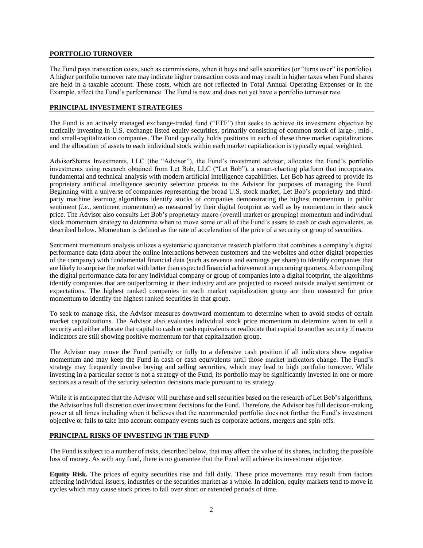## **PORTFOLIO TURNOVER**

The Fund pays transaction costs, such as commissions, when it buys and sells securities (or "turns over" its portfolio). A higher portfolio turnover rate may indicate higher transaction costs and may result in higher taxes when Fund shares are held in a taxable account. These costs, which are not reflected in Total Annual Operating Expenses or in the Example, affect the Fund's performance. The Fund is new and does not yet have a portfolio turnover rate.

## **PRINCIPAL INVESTMENT STRATEGIES**

The Fund is an actively managed exchange-traded fund ("ETF") that seeks to achieve its investment objective by tactically investing in U.S. exchange listed equity securities, primarily consisting of common stock of large-, mid-, and small-capitalization companies. The Fund typically holds positions in each of these three market capitalizations and the allocation of assets to each individual stock within each market capitalization is typically equal weighted.

AdvisorShares Investments, LLC (the "Advisor"), the Fund's investment advisor, allocates the Fund's portfolio investments using research obtained from Let Bob, LLC ("Let Bob"), a smart-charting platform that incorporates fundamental and technical analysis with modern artificial intelligence capabilities. Let Bob has agreed to provide its proprietary artificial intelligence security selection process to the Advisor for purposes of managing the Fund. Beginning with a universe of companies representing the broad U.S. stock market, Let Bob's proprietary and thirdparty machine learning algorithms identify stocks of companies demonstrating the highest momentum in public sentiment *(i.e.*, sentiment momentum) as measured by their digital footprint as well as by momentum in their stock price. The Advisor also consults Let Bob's proprietary macro (overall market or grouping) momentum and individual stock momentum strategy to determine when to move some or all of the Fund's assets to cash or cash equivalents, as described below. Momentum is defined as the rate of acceleration of the price of a security or group of securities.

Sentiment momentum analysis utilizes a systematic quantitative research platform that combines a company's digital performance data (data about the online interactions between customers and the websites and other digital properties of the company) with fundamental financial data (such as revenue and earnings per share) to identify companies that are likely to surprise the market with better than expected financial achievement in upcoming quarters. After compiling the digital performance data for any individual company or group of companies into a digital footprint, the algorithms identify companies that are outperforming in their industry and are projected to exceed outside analyst sentiment or expectations. The highest ranked companies in each market capitalization group are then measured for price momentum to identify the highest ranked securities in that group.

To seek to manage risk, the Advisor measures downward momentum to determine when to avoid stocks of certain market capitalizations. The Advisor also evaluates individual stock price momentum to determine when to sell a security and either allocate that capital to cash or cash equivalents or reallocate that capital to another security if macro indicators are still showing positive momentum for that capitalization group.

The Advisor may move the Fund partially or fully to a defensive cash position if all indicators show negative momentum and may keep the Fund in cash or cash equivalents until those market indicators change. The Fund's strategy may frequently involve buying and selling securities, which may lead to high portfolio turnover. While investing in a particular sector is not a strategy of the Fund, its portfolio may be significantly invested in one or more sectors as a result of the security selection decisions made pursuant to its strategy.

While it is anticipated that the Advisor will purchase and sell securities based on the research of Let Bob's algorithms, the Advisor has full discretion over investment decisions for the Fund. Therefore, the Advisor has full decision-making power at all times including when it believes that the recommended portfolio does not further the Fund's investment objective or fails to take into account company events such as corporate actions, mergers and spin-offs.

# **PRINCIPAL RISKS OF INVESTING IN THE FUND**

The Fund is subject to a number of risks, described below, that may affect the value of its shares, including the possible loss of money. As with any fund, there is no guarantee that the Fund will achieve its investment objective.

**Equity Risk.** The prices of equity securities rise and fall daily. These price movements may result from factors affecting individual issuers, industries or the securities market as a whole. In addition, equity markets tend to move in cycles which may cause stock prices to fall over short or extended periods of time.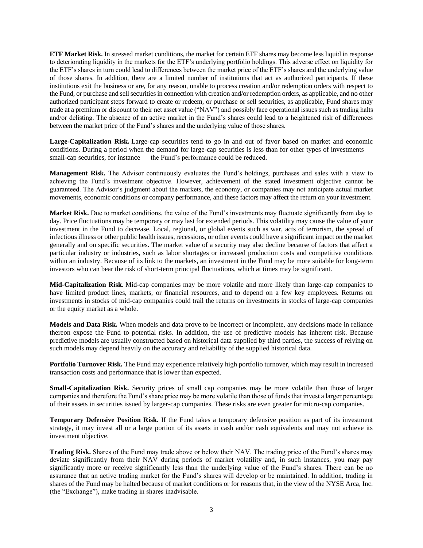**ETF Market Risk.** In stressed market conditions, the market for certain ETF shares may become less liquid in response to deteriorating liquidity in the markets for the ETF's underlying portfolio holdings. This adverse effect on liquidity for the ETF's shares in turn could lead to differences between the market price of the ETF's shares and the underlying value of those shares. In addition, there are a limited number of institutions that act as authorized participants. If these institutions exit the business or are, for any reason, unable to process creation and/or redemption orders with respect to the Fund, or purchase and sell securities in connection with creation and/or redemption orders, as applicable, and no other authorized participant steps forward to create or redeem, or purchase or sell securities, as applicable, Fund shares may trade at a premium or discount to their net asset value ("NAV") and possibly face operational issues such as trading halts and/or delisting. The absence of an active market in the Fund's shares could lead to a heightened risk of differences between the market price of the Fund's shares and the underlying value of those shares.

**Large-Capitalization Risk.** Large-cap securities tend to go in and out of favor based on market and economic conditions. During a period when the demand for large-cap securities is less than for other types of investments small-cap securities, for instance — the Fund's performance could be reduced.

**Management Risk.** The Advisor continuously evaluates the Fund's holdings, purchases and sales with a view to achieving the Fund's investment objective. However, achievement of the stated investment objective cannot be guaranteed. The Advisor's judgment about the markets, the economy, or companies may not anticipate actual market movements, economic conditions or company performance, and these factors may affect the return on your investment.

**Market Risk.** Due to market conditions, the value of the Fund's investments may fluctuate significantly from day to day. Price fluctuations may be temporary or may last for extended periods. This volatility may cause the value of your investment in the Fund to decrease. Local, regional, or global events such as war, acts of terrorism, the spread of infectious illness or other public health issues, recessions, or other events could have a significant impact on the market generally and on specific securities. The market value of a security may also decline because of factors that affect a particular industry or industries, such as labor shortages or increased production costs and competitive conditions within an industry. Because of its link to the markets, an investment in the Fund may be more suitable for long-term investors who can bear the risk of short-term principal fluctuations, which at times may be significant.

**Mid-Capitalization Risk.** Mid-cap companies may be more volatile and more likely than large-cap companies to have limited product lines, markets, or financial resources, and to depend on a few key employees. Returns on investments in stocks of mid-cap companies could trail the returns on investments in stocks of large-cap companies or the equity market as a whole.

**Models and Data Risk.** When models and data prove to be incorrect or incomplete, any decisions made in reliance thereon expose the Fund to potential risks. In addition, the use of predictive models has inherent risk. Because predictive models are usually constructed based on historical data supplied by third parties, the success of relying on such models may depend heavily on the accuracy and reliability of the supplied historical data.

**Portfolio Turnover Risk.** The Fund may experience relatively high portfolio turnover, which may result in increased transaction costs and performance that is lower than expected.

**Small-Capitalization Risk.** Security prices of small cap companies may be more volatile than those of larger companies and therefore the Fund's share price may be more volatile than those of funds that invest a larger percentage of their assets in securities issued by larger-cap companies. These risks are even greater for micro-cap companies.

**Temporary Defensive Position Risk.** If the Fund takes a temporary defensive position as part of its investment strategy, it may invest all or a large portion of its assets in cash and/or cash equivalents and may not achieve its investment objective.

**Trading Risk.** Shares of the Fund may trade above or below their NAV. The trading price of the Fund's shares may deviate significantly from their NAV during periods of market volatility and, in such instances, you may pay significantly more or receive significantly less than the underlying value of the Fund's shares. There can be no assurance that an active trading market for the Fund's shares will develop or be maintained. In addition, trading in shares of the Fund may be halted because of market conditions or for reasons that, in the view of the NYSE Arca, Inc. (the "Exchange"), make trading in shares inadvisable.